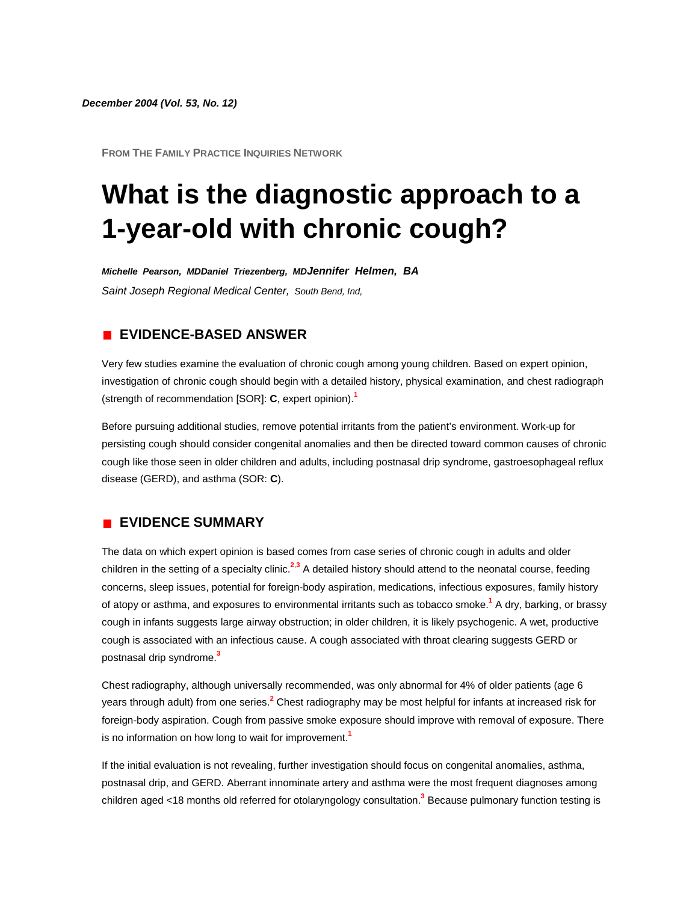*December 2004 (Vol. 53, No. 12)*

**FROM THE FAMILY PRACTICE INQUIRIES NETWORK**

# **What is the diagnostic approach to a 1-year-old with chronic cough?**

*Michelle Pearson, MDDaniel Triezenberg, MDJennifer Helmen, BA*

*Saint Joseph Regional Medical Center, South Bend, Ind,*

# **EVIDENCE-BASED ANSWER**

Very few studies examine the evaluation of chronic cough among young children. Based on expert opinion, investigation of chronic cough should begin with a detailed history, physical examination, and chest radiograph (strength of recommendation [SOR]: **C**, expert opinion)[.](http://www.jfponline.com/Pages.asp?AID=1834&issue=December_2004&UID=#bib1)**<sup>1</sup>**

Before pursuing additional studies, remove potential irritants from the patient's environment. Work-up for persisting cough should consider congenital anomalies and then be directed toward common causes of chronic cough like those seen in older children and adults, including postnasal drip syndrome, gastroesophageal reflux disease (GERD), and asthma (SOR: **C**).

## **EVIDENCE SUMMARY**

The data on which expert opinion is based comes from case series of chronic cough in adults and older children in the setting of a specialty clini[c.](http://www.jfponline.com/Pages.asp?AID=1834&issue=December_2004&UID=#bib2)**<sup>2</sup>**,**[3](http://www.jfponline.com/Pages.asp?AID=1834&issue=December_2004&UID=#bib3)** A detailed history should attend to the neonatal course, feeding concerns, sleep issues, potential for foreign-body aspiration, medications, infectious exposures, family history of atopy or asthma, and exposures to environmental irritants such as tobacco smok[e.](http://www.jfponline.com/Pages.asp?AID=1834&issue=December_2004&UID=#bib1)**<sup>1</sup>** A dry, barking, or brassy cough in infants suggests large airway obstruction; in older children, it is likely psychogenic. A wet, productive cough is associated with an infectious cause. A cough associated with throat clearing suggests GERD or postnasal drip syndrom[e.](http://www.jfponline.com/Pages.asp?AID=1834&issue=December_2004&UID=#bib3)**<sup>3</sup>**

Chest radiography, although universally recommended, was only abnormal for 4% of older patients (age 6 years through adult) from one serie[s.](http://www.jfponline.com/Pages.asp?AID=1834&issue=December_2004&UID=#bib2)**<sup>2</sup>** Chest radiography may be most helpful for infants at increased risk for foreign-body aspiration. Cough from passive smoke exposure should improve with removal of exposure. There is no information on how long to wait for improvement[.](http://www.jfponline.com/Pages.asp?AID=1834&issue=December_2004&UID=#bib1)**<sup>1</sup>**

If the initial evaluation is not revealing, further investigation should focus on congenital anomalies, asthma, postnasal drip, and GERD. Aberrant innominate artery and asthma were the most frequent diagnoses among children aged <18 months old referred for otolaryngology consultatio[n.](http://www.jfponline.com/Pages.asp?AID=1834&issue=December_2004&UID=#bib3)**<sup>3</sup>** Because pulmonary function testing is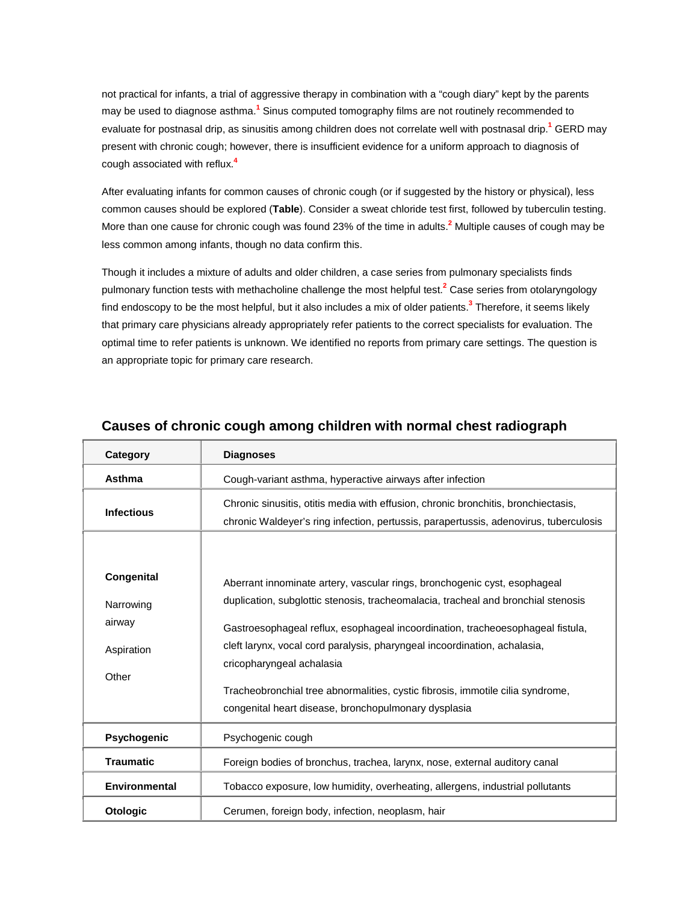not practical for infants, a trial of aggressive therapy in combination with a "cough diary" kept by the parents may be used to diagnose asthm[a.](http://www.jfponline.com/Pages.asp?AID=1834&issue=December_2004&UID=#bib1)**<sup>1</sup>** Sinus computed tomography films are not routinely recommended to evaluate for postnasal drip, as sinusitis among children does not correlate well with postnasal dri[p.](http://www.jfponline.com/Pages.asp?AID=1834&issue=December_2004&UID=#bib1)**<sup>1</sup>** GERD may present with chronic cough; however, there is insufficient evidence for a uniform approach to diagnosis of cough associated with reflu[x.](http://www.jfponline.com/Pages.asp?AID=1834&issue=December_2004&UID=#bib4)**<sup>4</sup>**

After evaluating infants for common causes of chronic cough (or if suggested by the history or physical), less common causes should be explored (**[Table](http://www.jfponline.com/Pages.asp?AID=1834&issue=December_2004&UID=#5312JFP_ClinicalInquiries4-tab1)**). Consider a sweat chloride test first, followed by tuberculin testing. More than one cause for chronic cough was found 23% of the time in adult[s.](http://www.jfponline.com/Pages.asp?AID=1834&issue=December_2004&UID=#bib2)**<sup>2</sup>** Multiple causes of cough may be less common among infants, though no data confirm this.

Though it includes a mixture of adults and older children, a case series from pulmonary specialists finds pulmonary function tests with methacholine challenge the most helpful tes[t.](http://www.jfponline.com/Pages.asp?AID=1834&issue=December_2004&UID=#bib2)**<sup>2</sup>** Case series from otolaryngology find endoscopy to be the most helpful, but it also includes a mix of older patient[s.](http://www.jfponline.com/Pages.asp?AID=1834&issue=December_2004&UID=#bib3)**<sup>3</sup>** Therefore, it seems likely that primary care physicians already appropriately refer patients to the correct specialists for evaluation. The optimal time to refer patients is unknown. We identified no reports from primary care settings. The question is an appropriate topic for primary care research.

| Category             | <b>Diagnoses</b>                                                                                                                                                            |
|----------------------|-----------------------------------------------------------------------------------------------------------------------------------------------------------------------------|
| Asthma               | Cough-variant asthma, hyperactive airways after infection                                                                                                                   |
| <b>Infectious</b>    | Chronic sinusitis, otitis media with effusion, chronic bronchitis, bronchiectasis,<br>chronic Waldever's ring infection, pertussis, parapertussis, adenovirus, tuberculosis |
|                      |                                                                                                                                                                             |
| Congenital           | Aberrant innominate artery, vascular rings, bronchogenic cyst, esophageal                                                                                                   |
| Narrowing            | duplication, subglottic stenosis, tracheomalacia, tracheal and bronchial stenosis                                                                                           |
| airway               | Gastroesophageal reflux, esophageal incoordination, tracheoesophageal fistula,                                                                                              |
| Aspiration           | cleft larynx, vocal cord paralysis, pharyngeal incoordination, achalasia,                                                                                                   |
| Other                | cricopharyngeal achalasia                                                                                                                                                   |
|                      | Tracheobronchial tree abnormalities, cystic fibrosis, immotile cilia syndrome,                                                                                              |
|                      | congenital heart disease, bronchopulmonary dysplasia                                                                                                                        |
| Psychogenic          | Psychogenic cough                                                                                                                                                           |
| <b>Traumatic</b>     | Foreign bodies of bronchus, trachea, larynx, nose, external auditory canal                                                                                                  |
| <b>Environmental</b> | Tobacco exposure, low humidity, overheating, allergens, industrial pollutants                                                                                               |
| <b>Otologic</b>      | Cerumen, foreign body, infection, neoplasm, hair                                                                                                                            |

# **Causes of chronic cough among children with normal chest radiograph**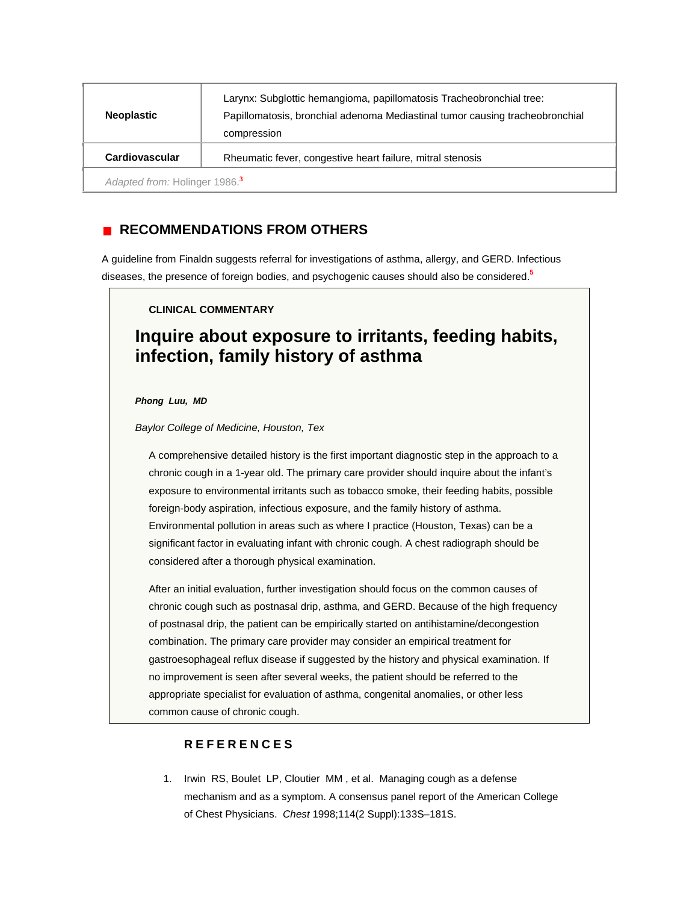| <b>Neoplastic</b>                         | Larynx: Subglottic hemangioma, papillomatosis Tracheobronchial tree:<br>Papillomatosis, bronchial adenoma Mediastinal tumor causing tracheobronchial<br>compression |
|-------------------------------------------|---------------------------------------------------------------------------------------------------------------------------------------------------------------------|
| Cardiovascular                            | Rheumatic fever, congestive heart failure, mitral stenosis                                                                                                          |
| Adapted from: Holinger 1986. <sup>3</sup> |                                                                                                                                                                     |

# **RECOMMENDATIONS FROM OTHERS**

A guideline from Finaldn suggests referral for investigations of asthma, allergy, and GERD. Infectious diseases, the presence of foreign bodies, and psychogenic causes should also be considere[d.](http://www.jfponline.com/Pages.asp?AID=1834&issue=December_2004&UID=#bib5)**<sup>5</sup>**

### **CLINICAL COMMENTARY**

# **Inquire about exposure to irritants, feeding habits, infection, family history of asthma**

*Phong Luu, MD*

*Baylor College of Medicine, Houston, Tex*

A comprehensive detailed history is the first important diagnostic step in the approach to a chronic cough in a 1-year old. The primary care provider should inquire about the infant's exposure to environmental irritants such as tobacco smoke, their feeding habits, possible foreign-body aspiration, infectious exposure, and the family history of asthma. Environmental pollution in areas such as where I practice (Houston, Texas) can be a significant factor in evaluating infant with chronic cough. A chest radiograph should be considered after a thorough physical examination.

After an initial evaluation, further investigation should focus on the common causes of chronic cough such as postnasal drip, asthma, and GERD. Because of the high frequency of postnasal drip, the patient can be empirically started on antihistamine/decongestion combination. The primary care provider may consider an empirical treatment for gastroesophageal reflux disease if suggested by the history and physical examination. If no improvement is seen after several weeks, the patient should be referred to the appropriate specialist for evaluation of asthma, congenital anomalies, or other less common cause of chronic cough.

### **REFERENCES**

1. Irwin RS, Boulet LP, Cloutier MM , et al. Managing cough as a defense mechanism and as a symptom. A consensus panel report of the American College of Chest Physicians. *Chest* 1998;114(2 Suppl):133S–181S.